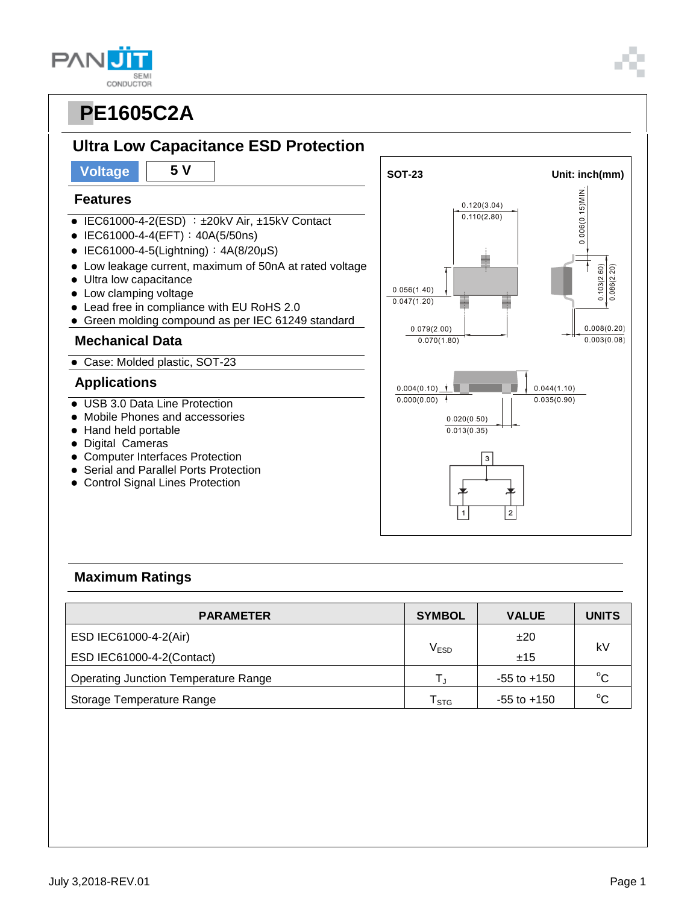**SEMI** CONDUCTOR



## **Features**

**PAN** 

- $\bullet$  IEC61000-4-2(ESD) :  $\pm$ 20kV Air,  $\pm$ 15kV Contact
- IEC61000-4-4(EFT): 40A(5/50ns)
- $\bullet$  IEC61000-4-5(Lightning):  $4A(8/20\mu S)$
- Low leakage current, maximum of 50nA at rated voltage
- Ultra low capacitance
- Low clamping voltage
- Lead free in compliance with EU RoHS 2.0
- Green molding compound as per IEC 61249 standard

#### **Mechanical Data**

Case: Molded plastic, SOT-23

### **Applications**

- USB 3.0 Data Line Protection
- Mobile Phones and accessories
- Hand held portable
- Digital Cameras
- Computer Interfaces Protection
- Serial and Parallel Ports Protection
- Control Signal Lines Protection



### **Maximum Ratings**

| <b>PARAMETER</b>                            | <b>SYMBOL</b>               | <b>VALUE</b>    | <b>UNITS</b> |  |
|---------------------------------------------|-----------------------------|-----------------|--------------|--|
| ESD IEC61000-4-2(Air)                       |                             | ±20             | kV           |  |
| ESD IEC61000-4-2(Contact)                   | V <sub>ESD</sub>            | ±15             |              |  |
| <b>Operating Junction Temperature Range</b> |                             | $-55$ to $+150$ | $^{\circ}C$  |  |
| Storage Temperature Range                   | $\mathsf{T}_{\texttt{STG}}$ | $-55$ to $+150$ | $^{\circ}C$  |  |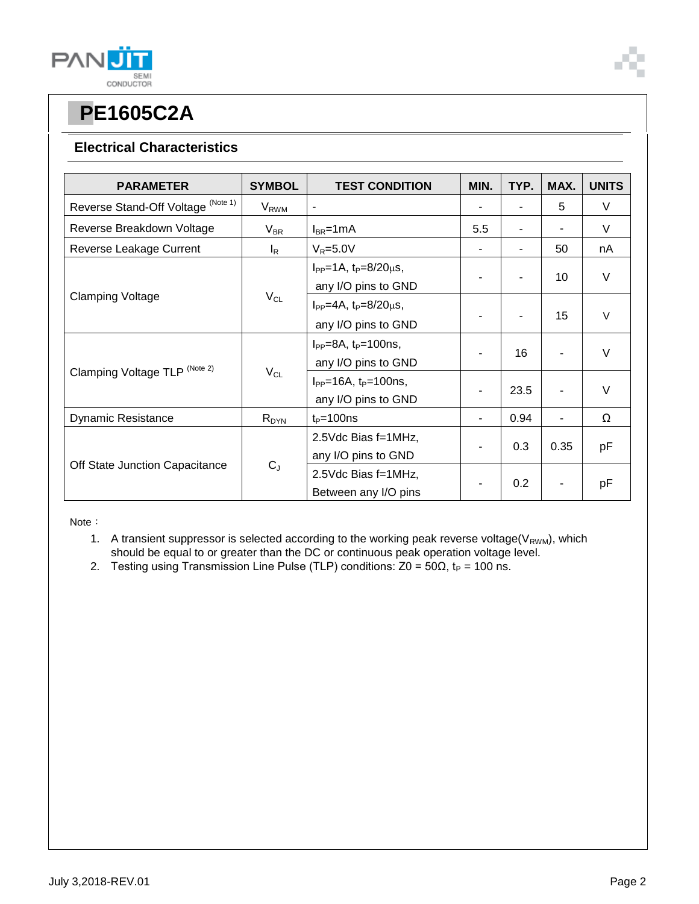

### **Electrical Characteristics**

| <b>PARAMETER</b>                   | <b>SYMBOL</b>    | <b>TEST CONDITION</b>                                       | MIN.           | TYP. | MAX. | <b>UNITS</b> |
|------------------------------------|------------------|-------------------------------------------------------------|----------------|------|------|--------------|
| Reverse Stand-Off Voltage (Note 1) | V <sub>RWM</sub> | $\blacksquare$                                              |                |      | 5    | V            |
| Reverse Breakdown Voltage          | $V_{BR}$         | $I_{BR}$ =1mA                                               | 5.5            |      |      | V            |
| Reverse Leakage Current            | $I_R$            | $V_R = 5.0V$                                                |                |      | 50   | nA           |
| <b>Clamping Voltage</b>            | $V_{CL}$         | $I_{PP} = 1A$ , $t_P = 8/20 \mu s$ ,<br>any I/O pins to GND |                |      | 10   | $\vee$       |
|                                    |                  | $I_{PP} = 4A$ , $t_P = 8/20 \mu s$ ,<br>any I/O pins to GND |                |      | 15   | $\vee$       |
| Clamping Voltage TLP (Note 2)      | $V_{CL}$         | $I_{PP} = 8A$ , $t_P = 100$ ns,<br>any I/O pins to GND      |                | 16   |      | V            |
|                                    |                  | $I_{PP} = 16A$ , $t_P = 100$ ns,<br>any I/O pins to GND     |                | 23.5 |      | $\vee$       |
| <b>Dynamic Resistance</b>          | $R_{DYN}$        | $t_P = 100$ ns                                              | $\blacksquare$ | 0.94 | ٠    | Ω            |
| Off State Junction Capacitance     | $C_{J}$          | 2.5Vdc Bias f=1MHz,<br>any I/O pins to GND                  |                | 0.3  | 0.35 | рF           |
|                                    |                  | 2.5Vdc Bias f=1MHz,<br>Between any I/O pins                 |                | 0.2  |      | pF           |

Note:

- 1. A transient suppressor is selected according to the working peak reverse voltage( $V_{RWM}$ ), which should be equal to or greater than the DC or continuous peak operation voltage level.
- 2. Testing using Transmission Line Pulse (TLP) conditions:  $Z0 = 50\Omega$ ,  $t_P = 100$  ns.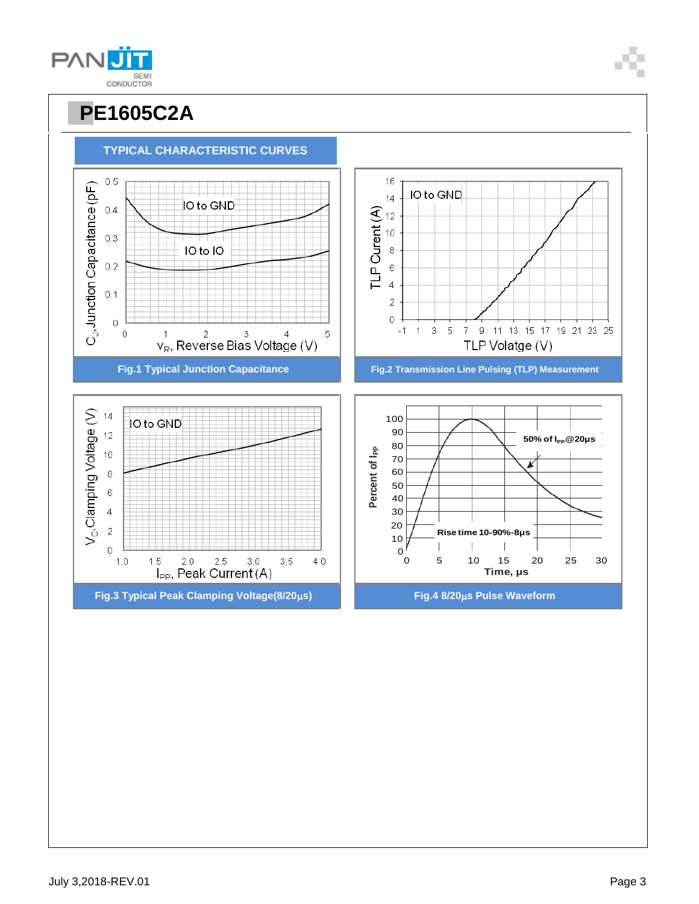



**TYPICAL CHARACTERISTIC CURVES**

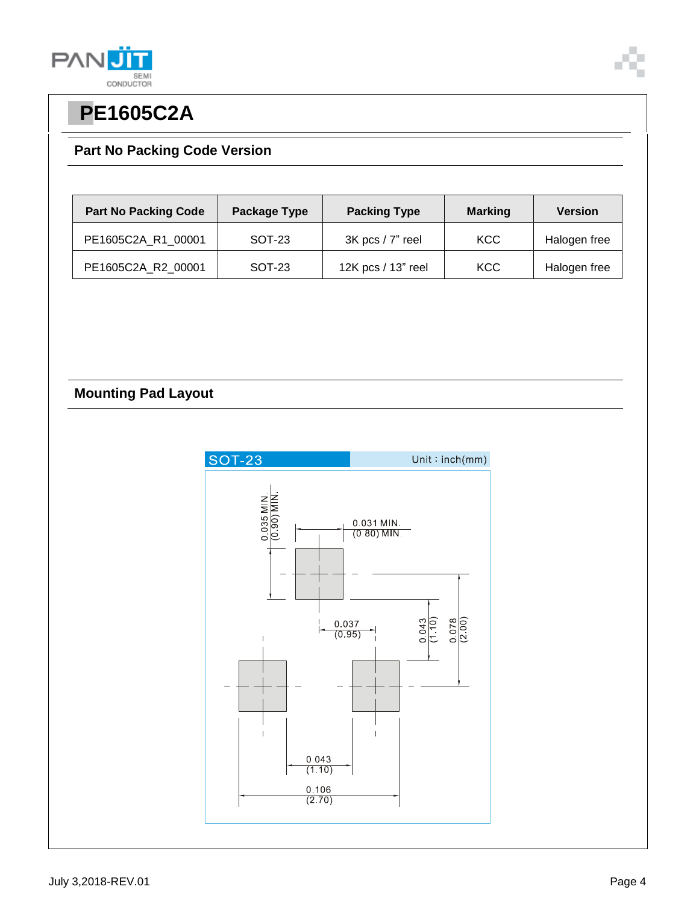



## **Part No Packing Code Version**

| <b>Part No Packing Code</b> | Package Type | <b>Packing Type</b>  | <b>Marking</b> | <b>Version</b> |
|-----------------------------|--------------|----------------------|----------------|----------------|
| PE1605C2A R1 00001          | SOT-23       | $3K$ pcs / $7"$ reel | <b>KCC</b>     | Halogen free   |
| PE1605C2A_R2_00001          | SOT-23       | 12K pcs / 13" reel   | KCC            | Halogen free   |

### **Mounting Pad Layout**